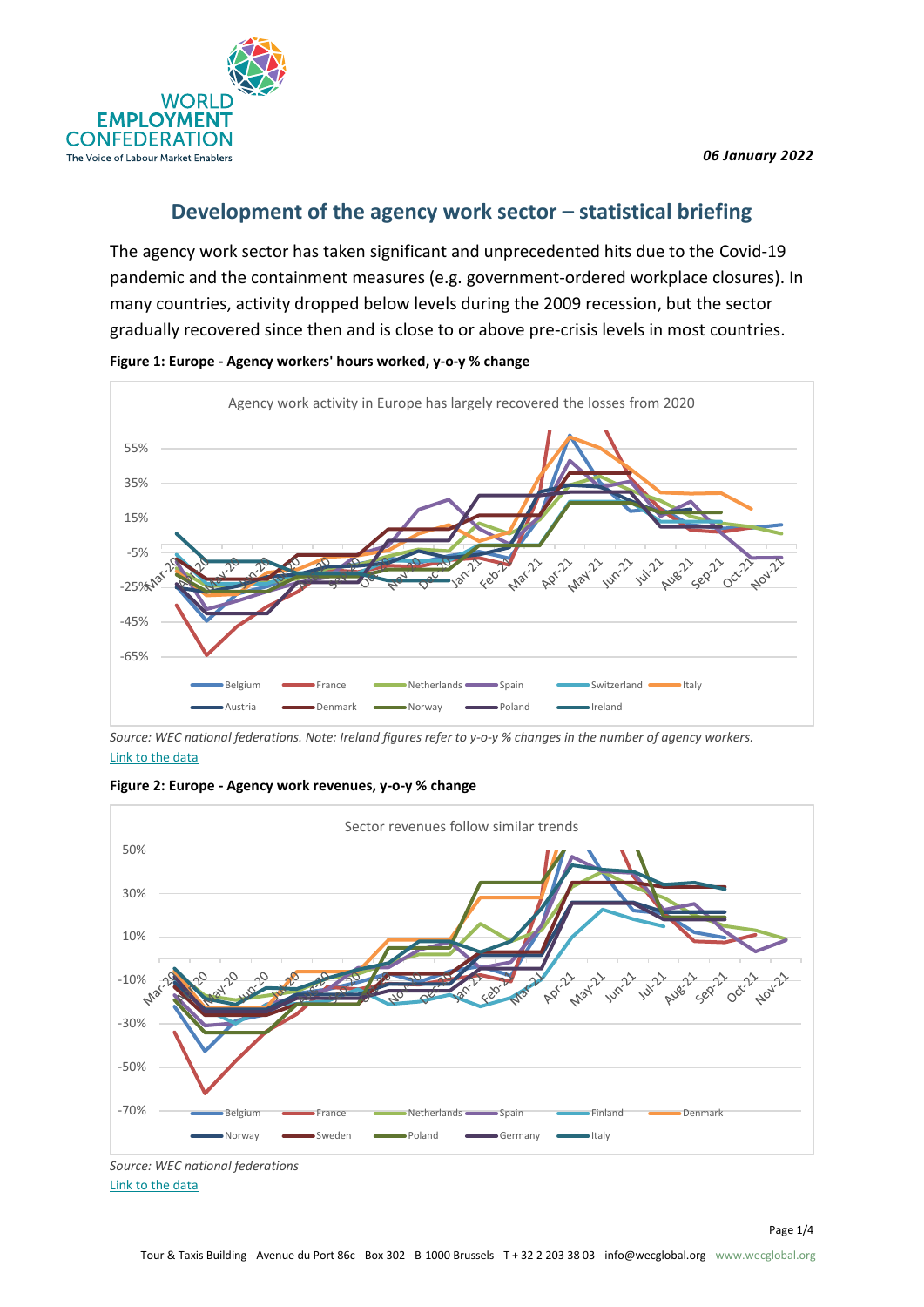

# **Development of the agency work sector – statistical briefing**

The agency work sector has taken significant and unprecedented hits due to the Covid-19 pandemic and the containment measures (e.g. government-ordered workplace closures). In many countries, activity dropped below levels during the 2009 recession, but the sector gradually recovered since then and is close to or above pre-crisis levels in most countries.



**Figure 1: Europe - Agency workers' hours worked, y-o-y % change**

*Source: WEC national federations. Note: Ireland figures refer to y-o-y % changes in the number of agency workers.* [Link to the data](https://infowecglobal.sharepoint.com/:x:/g/EcXamdn20uhNtYJkrsE2DekBTsCF8HgTWQ4zwkj4KJNB8w?rtime=6R9KGfcY2Eg)





*Source: WEC national federations* [Link to the data](https://infowecglobal.sharepoint.com/:x:/g/EcXamdn20uhNtYJkrsE2DekBTsCF8HgTWQ4zwkj4KJNB8w?rtime=6R9KGfcY2Eg)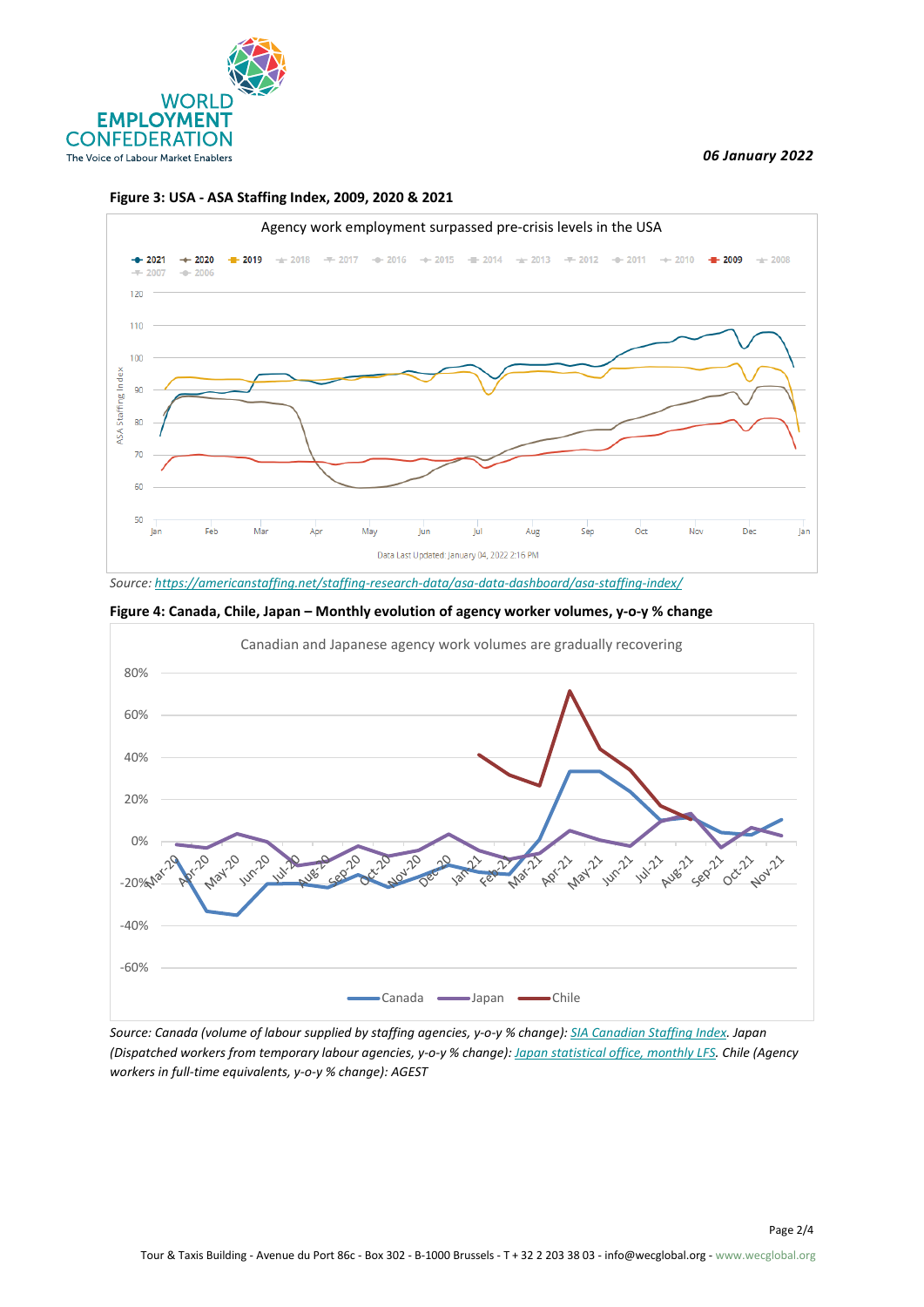

#### *06 January 2022*



#### **Figure 3: USA - ASA Staffing Index, 2009, 2020 & 2021**

*Source[: https://americanstaffing.net/staffing-research-data/asa-data-dashboard/asa-staffing-index/](https://americanstaffing.net/staffing-research-data/asa-data-dashboard/asa-staffing-index/)*





*Source: Canada (volume of labour supplied by staffing agencies, y-o-y % change): [SIA Canadian Staffing Index.](https://acsess.org/staffing/overview) Japan (Dispatched workers from temporary labour agencies, y-o-y % change)[: Japan statistical office, monthly LFS.](https://www.e-stat.go.jp/en/stat-search/files?page=1&layout=datalist&toukei=00200531&tstat=000000110001&cycle=1&tclass1=000001040276&tclass2=000001040283&tclass3=000001040284&tclass4val=0) Chile (Agency workers in full-time equivalents, y-o-y % change): AGEST*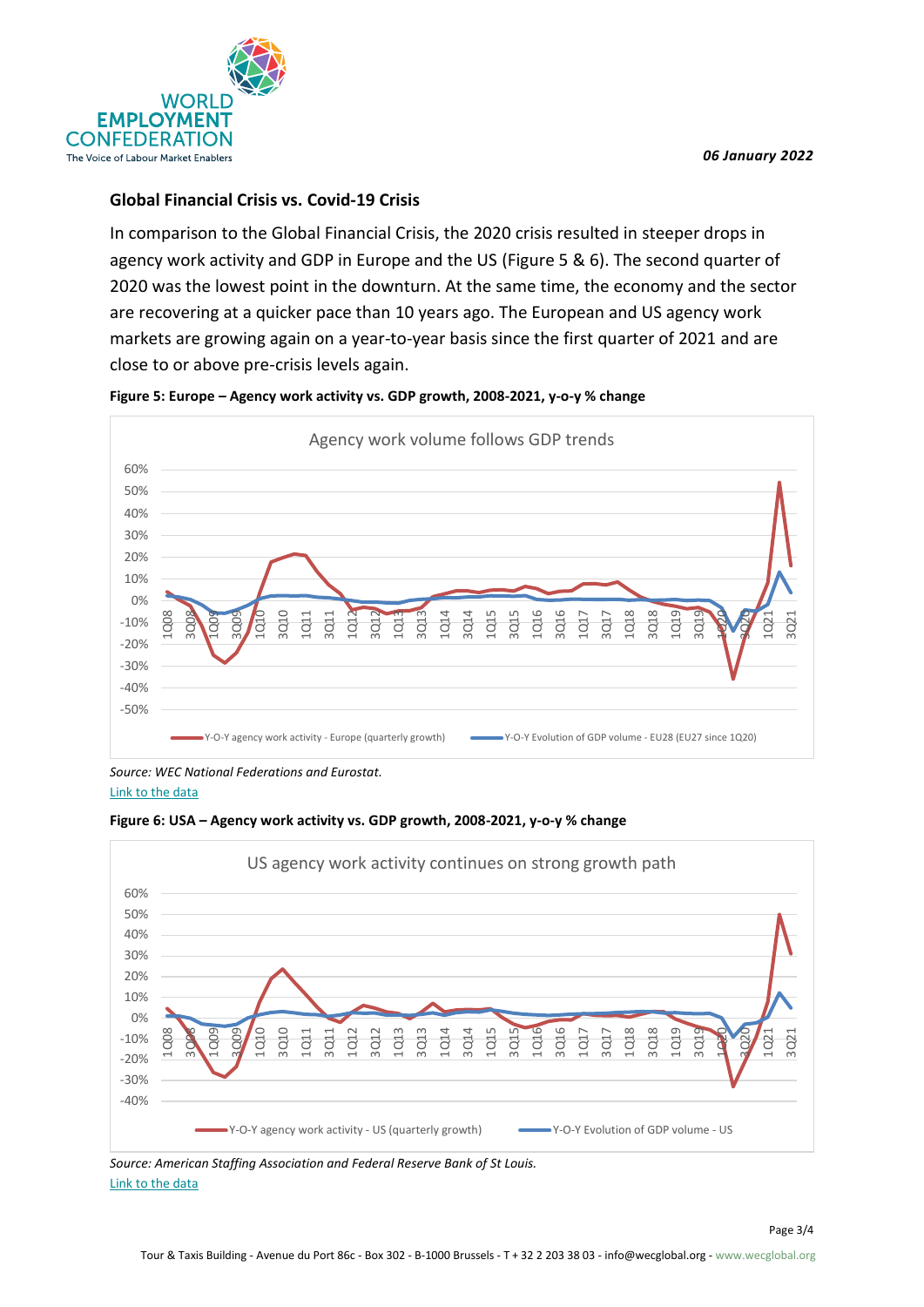

## **Global Financial Crisis vs. Covid-19 Crisis**

In comparison to the Global Financial Crisis, the 2020 crisis resulted in steeper drops in agency work activity and GDP in Europe and the US (Figure 5 & 6). The second quarter of 2020 was the lowest point in the downturn. At the same time, the economy and the sector are recovering at a quicker pace than 10 years ago. The European and US agency work markets are growing again on a year-to-year basis since the first quarter of 2021 and are close to or above pre-crisis levels again.



### **Figure 5: Europe – Agency work activity vs. GDP growth, 2008-2021, y-o-y % change**

*Source: WEC National Federations and Eurostat.* [Link to the data](https://infowecglobal.sharepoint.com/:x:/g/EcXamdn20uhNtYJkrsE2DekBTsCF8HgTWQ4zwkj4KJNB8w?rtime=6R9KGfcY2Eg)





*Source: American Staffing Association and Federal Reserve Bank of St Louis.* [Link to the data](https://infowecglobal.sharepoint.com/:x:/g/EcXamdn20uhNtYJkrsE2DekBTsCF8HgTWQ4zwkj4KJNB8w?rtime=6R9KGfcY2Eg)